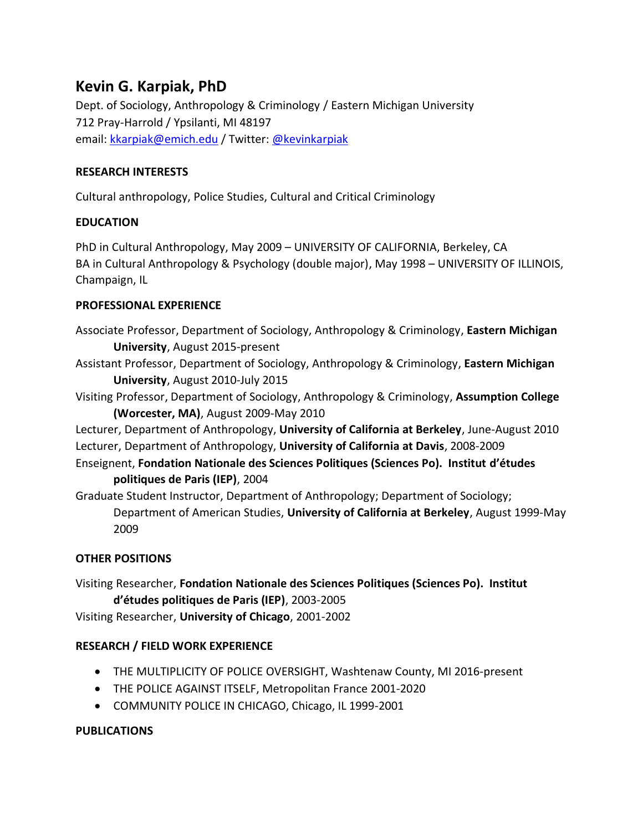# **Kevin G. Karpiak, PhD**

Dept. of Sociology, Anthropology & Criminology / Eastern Michigan University 712 Pray-Harrold / Ypsilanti, MI 48197 email[: kkarpiak@emich.edu](mailto:kkarpiak@emich.edu) / Twitter: [@kevinkarpiak](http://twitter.com/kevinkarpiak)

#### **RESEARCH INTERESTS**

Cultural anthropology, Police Studies, Cultural and Critical Criminology

#### **EDUCATION**

PhD in Cultural Anthropology, May 2009 – UNIVERSITY OF CALIFORNIA, Berkeley, CA BA in Cultural Anthropology & Psychology (double major), May 1998 – UNIVERSITY OF ILLINOIS, Champaign, IL

#### **PROFESSIONAL EXPERIENCE**

- Associate Professor, Department of Sociology, Anthropology & Criminology, **Eastern Michigan University**, August 2015-present
- Assistant Professor, Department of Sociology, Anthropology & Criminology, **Eastern Michigan University**, August 2010-July 2015
- Visiting Professor, Department of Sociology, Anthropology & Criminology, **Assumption College (Worcester, MA)**, August 2009-May 2010

Lecturer, Department of Anthropology, **University of California at Berkeley**, June-August 2010 Lecturer, Department of Anthropology, **University of California at Davis**, 2008-2009

Enseignent, **Fondation Nationale des Sciences Politiques (Sciences Po). Institut d'études politiques de Paris (IEP)**, 2004

Graduate Student Instructor, Department of Anthropology; Department of Sociology; Department of American Studies, **University of California at Berkeley**, August 1999-May 2009

### **OTHER POSITIONS**

Visiting Researcher, **Fondation Nationale des Sciences Politiques (Sciences Po). Institut d'études politiques de Paris (IEP)**, 2003-2005

Visiting Researcher, **University of Chicago**, 2001-2002

### **RESEARCH / FIELD WORK EXPERIENCE**

- THE MULTIPLICITY OF POLICE OVERSIGHT, Washtenaw County, MI 2016-present
- THE POLICE AGAINST ITSELF, Metropolitan France 2001-2020
- COMMUNITY POLICE IN CHICAGO, Chicago, IL 1999-2001

#### **PUBLICATIONS**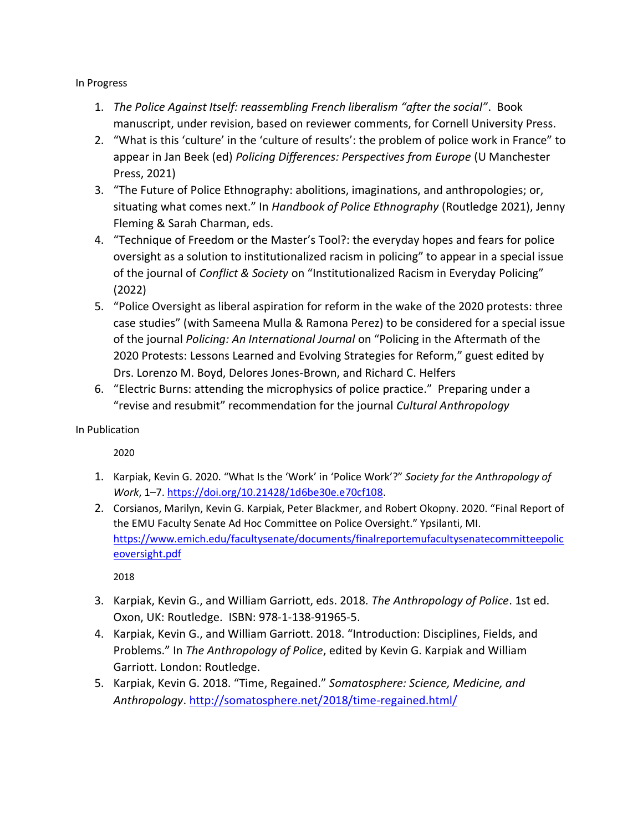In Progress

- 1. *The Police Against Itself: reassembling French liberalism "after the social"*. Book manuscript, under revision, based on reviewer comments, for Cornell University Press.
- 2. "What is this 'culture' in the 'culture of results': the problem of police work in France" to appear in Jan Beek (ed) *Policing Differences: Perspectives from Europe* (U Manchester Press, 2021)
- 3. "The Future of Police Ethnography: abolitions, imaginations, and anthropologies; or, situating what comes next." In *Handbook of Police Ethnography* (Routledge 2021), Jenny Fleming & Sarah Charman, eds.
- 4. "Technique of Freedom or the Master's Tool?: the everyday hopes and fears for police oversight as a solution to institutionalized racism in policing" to appear in a special issue of the journal of *Conflict & Society* on "Institutionalized Racism in Everyday Policing" (2022)
- 5. "Police Oversight as liberal aspiration for reform in the wake of the 2020 protests: three case studies" (with Sameena Mulla & Ramona Perez) to be considered for a special issue of the journal *Policing: An International Journal* on "Policing in the Aftermath of the 2020 Protests: Lessons Learned and Evolving Strategies for Reform," guest edited by Drs. Lorenzo M. Boyd, Delores Jones-Brown, and Richard C. Helfers
- 6. "Electric Burns: attending the microphysics of police practice." Preparing under a "revise and resubmit" recommendation for the journal *Cultural Anthropology*

In Publication

2020

- 1. Karpiak, Kevin G. 2020. "What Is the 'Work' in 'Police Work'?" *Society for the Anthropology of Work*, 1–7. [https://doi.org/10.21428/1d6be30e.e70cf108.](https://doi.org/10.21428/1d6be30e.e70cf108)
- 2. Corsianos, Marilyn, Kevin G. Karpiak, Peter Blackmer, and Robert Okopny. 2020. "Final Report of the EMU Faculty Senate Ad Hoc Committee on Police Oversight." Ypsilanti, MI. [https://www.emich.edu/facultysenate/documents/finalreportemufacultysenatecommitteepolic](https://www.emich.edu/facultysenate/documents/finalreportemufacultysenatecommitteepoliceoversight.pdf) [eoversight.pdf](https://www.emich.edu/facultysenate/documents/finalreportemufacultysenatecommitteepoliceoversight.pdf)

- 3. Karpiak, Kevin G., and William Garriott, eds. 2018. *The Anthropology of Police*. 1st ed. Oxon, UK: Routledge. ISBN: 978-1-138-91965-5.
- 4. Karpiak, Kevin G., and William Garriott. 2018. "Introduction: Disciplines, Fields, and Problems." In *The Anthropology of Police*, edited by Kevin G. Karpiak and William Garriott. London: Routledge.
- 5. Karpiak, Kevin G. 2018. "Time, Regained." *Somatosphere: Science, Medicine, and Anthropology*.<http://somatosphere.net/2018/time-regained.html/>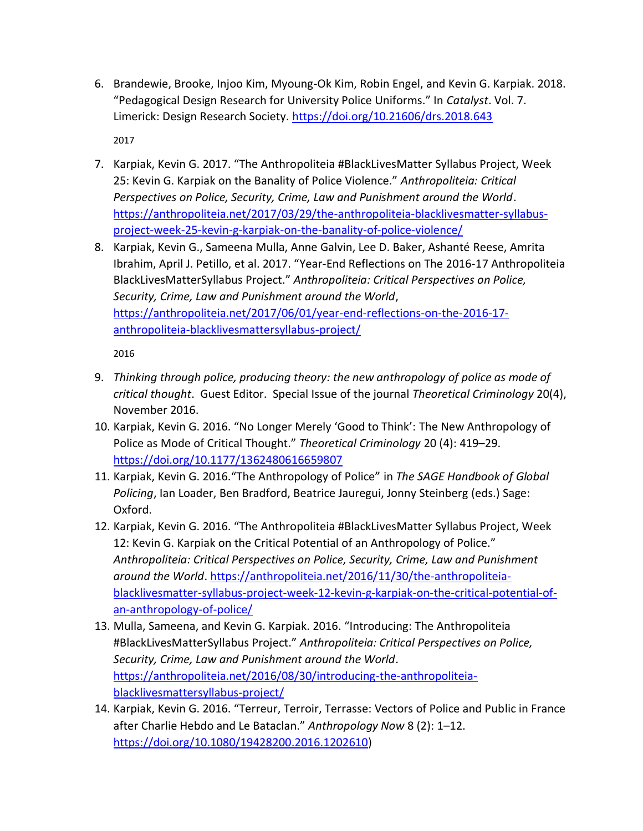- 6. Brandewie, Brooke, Injoo Kim, Myoung-Ok Kim, Robin Engel, and Kevin G. Karpiak. 2018. "Pedagogical Design Research for University Police Uniforms." In *Catalyst*. Vol. 7. Limerick: Design Research Society.<https://doi.org/10.21606/drs.2018.643> 2017
- 7. Karpiak, Kevin G. 2017. "The Anthropoliteia #BlackLivesMatter Syllabus Project, Week 25: Kevin G. Karpiak on the Banality of Police Violence." *Anthropoliteia: Critical Perspectives on Police, Security, Crime, Law and Punishment around the World*. [https://anthropoliteia.net/2017/03/29/the-anthropoliteia-blacklivesmatter-syllabus](https://anthropoliteia.net/2017/03/29/the-anthropoliteia-blacklivesmatter-syllabus-project-week-25-kevin-g-karpiak-on-the-banality-of-police-violence/)[project-week-25-kevin-g-karpiak-on-the-banality-of-police-violence/](https://anthropoliteia.net/2017/03/29/the-anthropoliteia-blacklivesmatter-syllabus-project-week-25-kevin-g-karpiak-on-the-banality-of-police-violence/)
- 8. Karpiak, Kevin G., Sameena Mulla, Anne Galvin, Lee D. Baker, Ashanté Reese, Amrita Ibrahim, April J. Petillo, et al. 2017. "Year-End Reflections on The 2016-17 Anthropoliteia BlackLivesMatterSyllabus Project." *Anthropoliteia: Critical Perspectives on Police, Security, Crime, Law and Punishment around the World*, [https://anthropoliteia.net/2017/06/01/year-end-reflections-on-the-2016-17](https://anthropoliteia.net/2017/06/01/year-end-reflections-on-the-2016-17-anthropoliteia-blacklivesmattersyllabus-project/) [anthropoliteia-blacklivesmattersyllabus-project/](https://anthropoliteia.net/2017/06/01/year-end-reflections-on-the-2016-17-anthropoliteia-blacklivesmattersyllabus-project/)

- 9. *Thinking through police, producing theory: the new anthropology of police as mode of critical thought*. Guest Editor. Special Issue of the journal *Theoretical Criminology* 20(4), November 2016.
- 10. Karpiak, Kevin G. 2016. "No Longer Merely 'Good to Think': The New Anthropology of Police as Mode of Critical Thought." *Theoretical Criminology* 20 (4): 419–29. <https://doi.org/10.1177/1362480616659807>
- 11. Karpiak, Kevin G. 2016."The Anthropology of Police" in *The SAGE Handbook of Global Policing*, Ian Loader, Ben Bradford, Beatrice Jauregui, Jonny Steinberg (eds.) Sage: Oxford.
- 12. Karpiak, Kevin G. 2016. "The Anthropoliteia #BlackLivesMatter Syllabus Project, Week 12: Kevin G. Karpiak on the Critical Potential of an Anthropology of Police." *Anthropoliteia: Critical Perspectives on Police, Security, Crime, Law and Punishment around the World*. [https://anthropoliteia.net/2016/11/30/the-anthropoliteia](https://anthropoliteia.net/2016/11/30/the-anthropoliteia-blacklivesmatter-syllabus-project-week-12-kevin-g-karpiak-on-the-critical-potential-of-an-anthropology-of-police/)[blacklivesmatter-syllabus-project-week-12-kevin-g-karpiak-on-the-critical-potential-of](https://anthropoliteia.net/2016/11/30/the-anthropoliteia-blacklivesmatter-syllabus-project-week-12-kevin-g-karpiak-on-the-critical-potential-of-an-anthropology-of-police/)[an-anthropology-of-police/](https://anthropoliteia.net/2016/11/30/the-anthropoliteia-blacklivesmatter-syllabus-project-week-12-kevin-g-karpiak-on-the-critical-potential-of-an-anthropology-of-police/)
- 13. Mulla, Sameena, and Kevin G. Karpiak. 2016. "Introducing: The Anthropoliteia #BlackLivesMatterSyllabus Project." *Anthropoliteia: Critical Perspectives on Police, Security, Crime, Law and Punishment around the World*. [https://anthropoliteia.net/2016/08/30/introducing-the-anthropoliteia](https://anthropoliteia.net/2016/08/30/introducing-the-anthropoliteia-blacklivesmattersyllabus-project/)[blacklivesmattersyllabus-project/](https://anthropoliteia.net/2016/08/30/introducing-the-anthropoliteia-blacklivesmattersyllabus-project/)
- 14. Karpiak, Kevin G. 2016. "Terreur, Terroir, Terrasse: Vectors of Police and Public in France after Charlie Hebdo and Le Bataclan." *Anthropology Now* 8 (2): 1–12. [https://doi.org/10.1080/19428200.2016.1202610\)](https://doi.org/10.1080/19428200.2016.1202610)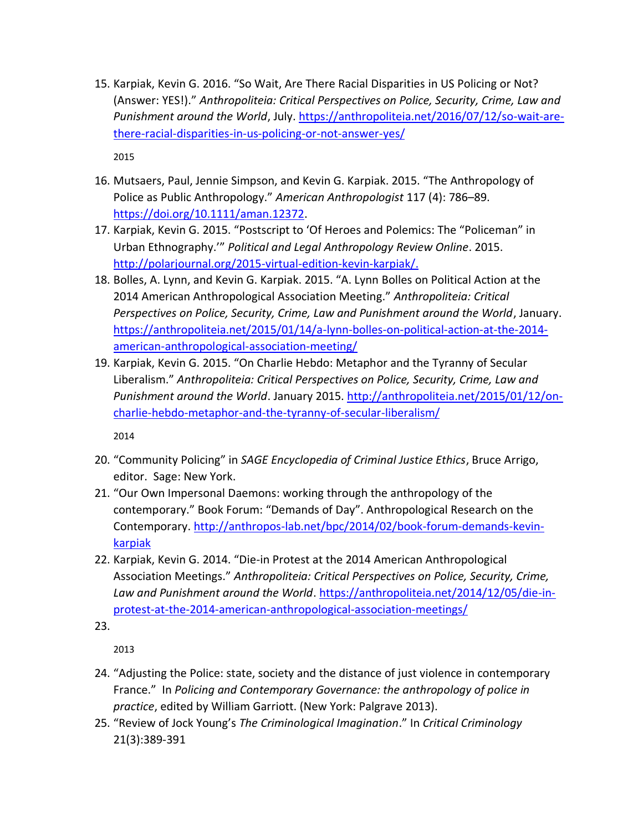15. Karpiak, Kevin G. 2016. "So Wait, Are There Racial Disparities in US Policing or Not? (Answer: YES!)." *Anthropoliteia: Critical Perspectives on Police, Security, Crime, Law and Punishment around the World*, July. [https://anthropoliteia.net/2016/07/12/so-wait-are](https://anthropoliteia.net/2016/07/12/so-wait-are-there-racial-disparities-in-us-policing-or-not-answer-yes/)[there-racial-disparities-in-us-policing-or-not-answer-yes/](https://anthropoliteia.net/2016/07/12/so-wait-are-there-racial-disparities-in-us-policing-or-not-answer-yes/)

2015

- 16. Mutsaers, Paul, Jennie Simpson, and Kevin G. Karpiak. 2015. "The Anthropology of Police as Public Anthropology." *American Anthropologist* 117 (4): 786–89. [https://doi.org/10.1111/aman.12372.](https://doi.org/10.1111/aman.12372)
- 17. Karpiak, Kevin G. 2015. "Postscript to 'Of Heroes and Polemics: The "Policeman" in Urban Ethnography.'" *Political and Legal Anthropology Review Online*. 2015. [http://polarjournal.org/2015-virtual-edition-kevin-karpiak/.](http://polarjournal.org/2015-virtual-edition-kevin-karpiak/)
- 18. Bolles, A. Lynn, and Kevin G. Karpiak. 2015. "A. Lynn Bolles on Political Action at the 2014 American Anthropological Association Meeting." *Anthropoliteia: Critical Perspectives on Police, Security, Crime, Law and Punishment around the World*, January. [https://anthropoliteia.net/2015/01/14/a-lynn-bolles-on-political-action-at-the-2014](https://anthropoliteia.net/2015/01/14/a-lynn-bolles-on-political-action-at-the-2014-american-anthropological-association-meeting/) [american-anthropological-association-meeting/](https://anthropoliteia.net/2015/01/14/a-lynn-bolles-on-political-action-at-the-2014-american-anthropological-association-meeting/)
- 19. Karpiak, Kevin G. 2015. "On Charlie Hebdo: Metaphor and the Tyranny of Secular Liberalism." *Anthropoliteia: Critical Perspectives on Police, Security, Crime, Law and Punishment around the World*. January 2015. [http://anthropoliteia.net/2015/01/12/on](http://anthropoliteia.net/2015/01/12/on-charlie-hebdo-metaphor-and-the-tyranny-of-secular-liberalism/)[charlie-hebdo-metaphor-and-the-tyranny-of-secular-liberalism/](http://anthropoliteia.net/2015/01/12/on-charlie-hebdo-metaphor-and-the-tyranny-of-secular-liberalism/)

2014

- 20. "Community Policing" in *SAGE Encyclopedia of Criminal Justice Ethics*, Bruce Arrigo, editor. Sage: New York.
- 21. "Our Own Impersonal Daemons: working through the anthropology of the contemporary." Book Forum: "Demands of Day". Anthropological Research on the Contemporary. [http://anthropos-lab.net/bpc/2014/02/book-forum-demands-kevin](http://anthropos-lab.net/bpc/2014/02/book-forum-demands-kevin-karpiak)[karpiak](http://anthropos-lab.net/bpc/2014/02/book-forum-demands-kevin-karpiak)
- 22. Karpiak, Kevin G. 2014. "Die-in Protest at the 2014 American Anthropological Association Meetings." *Anthropoliteia: Critical Perspectives on Police, Security, Crime, Law and Punishment around the World*. [https://anthropoliteia.net/2014/12/05/die-in](https://anthropoliteia.net/2014/12/05/die-in-protest-at-the-2014-american-anthropological-association-meetings/)[protest-at-the-2014-american-anthropological-association-meetings/](https://anthropoliteia.net/2014/12/05/die-in-protest-at-the-2014-american-anthropological-association-meetings/)
- 23.

- 24. "Adjusting the Police: state, society and the distance of just violence in contemporary France." In *Policing and Contemporary Governance: the anthropology of police in practice*, edited by William Garriott. (New York: Palgrave 2013).
- 25. "Review of Jock Young's *The Criminological Imagination*." In *Critical Criminology*  21(3):389-391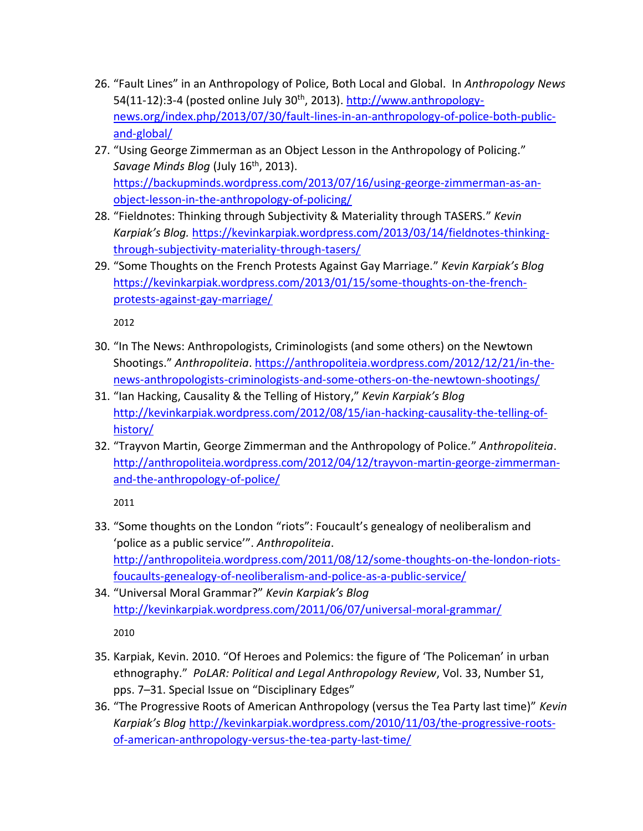- 26. "Fault Lines" in an Anthropology of Police, Both Local and Global. In *Anthropology News*  54(11-12):3-4 (posted online July 30<sup>th</sup>, 2013). [http://www.anthropology](http://www.anthropology-news.org/index.php/2013/07/30/fault-lines-in-an-anthropology-of-police-both-public-and-global/)[news.org/index.php/2013/07/30/fault-lines-in-an-anthropology-of-police-both-public](http://www.anthropology-news.org/index.php/2013/07/30/fault-lines-in-an-anthropology-of-police-both-public-and-global/)[and-global/](http://www.anthropology-news.org/index.php/2013/07/30/fault-lines-in-an-anthropology-of-police-both-public-and-global/)
- 27. "Using George Zimmerman as an Object Lesson in the Anthropology of Policing." Savage Minds Blog (July 16<sup>th</sup>, 2013). [https://backupminds.wordpress.com/2013/07/16/using-george-zimmerman-as-an](https://backupminds.wordpress.com/2013/07/16/using-george-zimmerman-as-an-object-lesson-in-the-anthropology-of-policing/)[object-lesson-in-the-anthropology-of-policing/](https://backupminds.wordpress.com/2013/07/16/using-george-zimmerman-as-an-object-lesson-in-the-anthropology-of-policing/)
- 28. "Fieldnotes: Thinking through Subjectivity & Materiality through TASERS." *Kevin Karpiak's Blog.* [https://kevinkarpiak.wordpress.com/2013/03/14/fieldnotes-thinking](https://kevinkarpiak.wordpress.com/2013/03/14/fieldnotes-thinking-through-subjectivity-materiality-through-tasers/)[through-subjectivity-materiality-through-tasers/](https://kevinkarpiak.wordpress.com/2013/03/14/fieldnotes-thinking-through-subjectivity-materiality-through-tasers/)
- 29. "Some Thoughts on the French Protests Against Gay Marriage." *Kevin Karpiak's Blog* [https://kevinkarpiak.wordpress.com/2013/01/15/some-thoughts-on-the-french](https://kevinkarpiak.wordpress.com/2013/01/15/some-thoughts-on-the-french-protests-against-gay-marriage/)[protests-against-gay-marriage/](https://kevinkarpiak.wordpress.com/2013/01/15/some-thoughts-on-the-french-protests-against-gay-marriage/)

- 30. "In The News: Anthropologists, Criminologists (and some others) on the Newtown Shootings." *Anthropoliteia*[. https://anthropoliteia.wordpress.com/2012/12/21/in-the](https://anthropoliteia.wordpress.com/2012/12/21/in-the-news-anthropologists-criminologists-and-some-others-on-the-newtown-shootings/)[news-anthropologists-criminologists-and-some-others-on-the-newtown-shootings/](https://anthropoliteia.wordpress.com/2012/12/21/in-the-news-anthropologists-criminologists-and-some-others-on-the-newtown-shootings/)
- 31. "Ian Hacking, Causality & the Telling of History," *Kevin Karpiak's Blog* [http://kevinkarpiak.wordpress.com/2012/08/15/ian-hacking-causality-the-telling-of](http://kevinkarpiak.wordpress.com/2012/08/15/ian-hacking-causality-the-telling-of-history/)[history/](http://kevinkarpiak.wordpress.com/2012/08/15/ian-hacking-causality-the-telling-of-history/)
- 32. "Trayvon Martin, George Zimmerman and the Anthropology of Police." *Anthropoliteia*. [http://anthropoliteia.wordpress.com/2012/04/12/trayvon-martin-george-zimmerman](http://anthropoliteia.wordpress.com/2012/04/12/trayvon-martin-george-zimmerman-and-the-anthropology-of-police/)[and-the-anthropology-of-police/](http://anthropoliteia.wordpress.com/2012/04/12/trayvon-martin-george-zimmerman-and-the-anthropology-of-police/)

- 33. "Some thoughts on the London "riots": Foucault's genealogy of neoliberalism and 'police as a public service'". *Anthropoliteia*. [http://anthropoliteia.wordpress.com/2011/08/12/some-thoughts-on-the-london-riots](http://anthropoliteia.wordpress.com/2011/08/12/some-thoughts-on-the-london-riots-foucaults-genealogy-of-neoliberalism-and-police-as-a-public-service/)[foucaults-genealogy-of-neoliberalism-and-police-as-a-public-service/](http://anthropoliteia.wordpress.com/2011/08/12/some-thoughts-on-the-london-riots-foucaults-genealogy-of-neoliberalism-and-police-as-a-public-service/)
- 34. "Universal Moral Grammar?" *Kevin Karpiak's Blog* <http://kevinkarpiak.wordpress.com/2011/06/07/universal-moral-grammar/> 2010
- 35. Karpiak, Kevin. 2010. "Of Heroes and Polemics: the figure of 'The Policeman' in urban ethnography." *PoLAR: Political and Legal Anthropology Review*, Vol. 33, Number S1, pps. 7–31. Special Issue on "Disciplinary Edges"
- 36. "The Progressive Roots of American Anthropology (versus the Tea Party last time)" *Kevin Karpiak's Blog* [http://kevinkarpiak.wordpress.com/2010/11/03/the-progressive-roots](http://kevinkarpiak.wordpress.com/2010/11/03/the-progressive-roots-of-american-anthropology-versus-the-tea-party-last-time/)[of-american-anthropology-versus-the-tea-party-last-time/](http://kevinkarpiak.wordpress.com/2010/11/03/the-progressive-roots-of-american-anthropology-versus-the-tea-party-last-time/)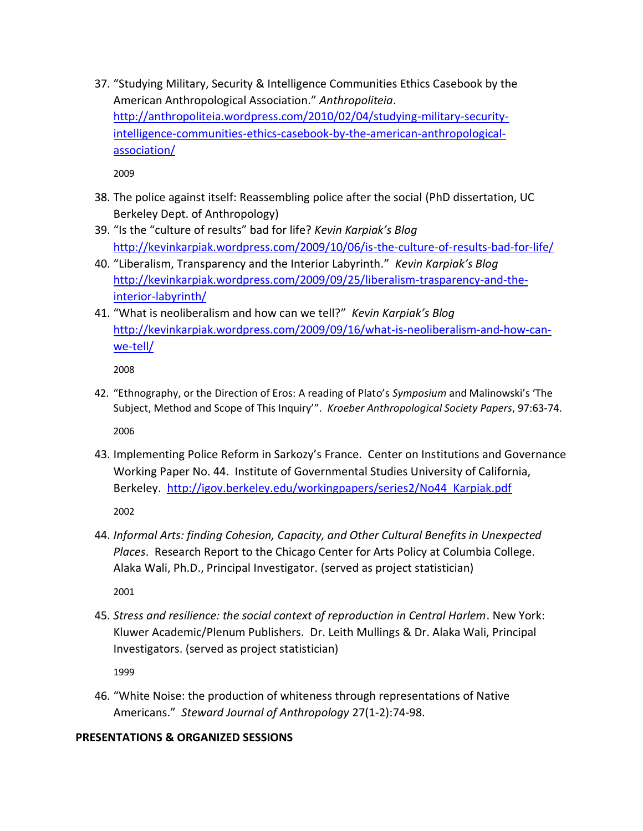37. "Studying Military, Security & Intelligence Communities Ethics Casebook by the American Anthropological Association." *Anthropoliteia*. [http://anthropoliteia.wordpress.com/2010/02/04/studying-military-security](http://anthropoliteia.wordpress.com/2010/02/04/studying-military-security-intelligence-communities-ethics-casebook-by-the-american-anthropological-association/)[intelligence-communities-ethics-casebook-by-the-american-anthropological](http://anthropoliteia.wordpress.com/2010/02/04/studying-military-security-intelligence-communities-ethics-casebook-by-the-american-anthropological-association/)[association/](http://anthropoliteia.wordpress.com/2010/02/04/studying-military-security-intelligence-communities-ethics-casebook-by-the-american-anthropological-association/)

2009

- 38. The police against itself: Reassembling police after the social (PhD dissertation, UC Berkeley Dept. of Anthropology)
- 39. "Is the "culture of results" bad for life? *Kevin Karpiak's Blog* <http://kevinkarpiak.wordpress.com/2009/10/06/is-the-culture-of-results-bad-for-life/>
- 40. "Liberalism, Transparency and the Interior Labyrinth." *Kevin Karpiak's Blog* [http://kevinkarpiak.wordpress.com/2009/09/25/liberalism-trasparency-and-the](http://kevinkarpiak.wordpress.com/2009/09/25/liberalism-trasparency-and-the-interior-labyrinth/)[interior-labyrinth/](http://kevinkarpiak.wordpress.com/2009/09/25/liberalism-trasparency-and-the-interior-labyrinth/)
- 41. "What is neoliberalism and how can we tell?" *Kevin Karpiak's Blog* [http://kevinkarpiak.wordpress.com/2009/09/16/what-is-neoliberalism-and-how-can](http://kevinkarpiak.wordpress.com/2009/09/16/what-is-neoliberalism-and-how-can-we-tell/)[we-tell/](http://kevinkarpiak.wordpress.com/2009/09/16/what-is-neoliberalism-and-how-can-we-tell/)

2008

- 42. "Ethnography, or the Direction of Eros: A reading of Plato's *Symposium* and Malinowski's 'The Subject, Method and Scope of This Inquiry'". *Kroeber Anthropological Society Papers*, 97:63-74. 2006
- 43. Implementing Police Reform in Sarkozy's France. Center on Institutions and Governance Working Paper No. 44. Institute of Governmental Studies University of California, Berkeley. [http://igov.berkeley.edu/workingpapers/series2/No44\\_Karpiak.pdf](http://igov.berkeley.edu/workingpapers/series2/No44_Karpiak.pdf)

2002

44. *Informal Arts: finding Cohesion, Capacity, and Other Cultural Benefits in Unexpected Places*. Research Report to the Chicago Center for Arts Policy at Columbia College. Alaka Wali, Ph.D., Principal Investigator. (served as project statistician)

2001

45. *Stress and resilience: the social context of reproduction in Central Harlem*. New York: Kluwer Academic/Plenum Publishers. Dr. Leith Mullings & Dr. Alaka Wali, Principal Investigators. (served as project statistician)

1999

46. "White Noise: the production of whiteness through representations of Native Americans." *Steward Journal of Anthropology* 27(1-2):74-98.

### **PRESENTATIONS & ORGANIZED SESSIONS**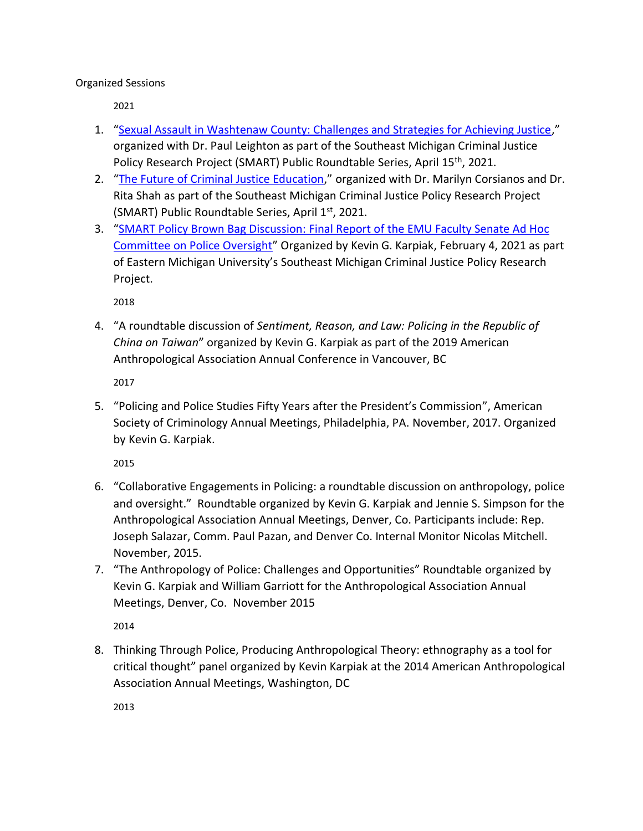Organized Sessions

2021

- 1. "[Sexual Assault in Washtenaw County: Challenges and Strategies for Achieving Justice](https://sites.google.com/emich.edu/sexual-assault-washtenaw-2021/)," organized with Dr. Paul Leighton as part of the Southeast Michigan Criminal Justice Policy Research Project (SMART) Public Roundtable Series, April 15<sup>th</sup>, 2021.
- 2. "[The Future of Criminal Justice Education](https://sites.google.com/emich.edu/future-of-cj-ed-2021/)," organized with Dr. Marilyn Corsianos and Dr. Rita Shah as part of the Southeast Michigan Criminal Justice Policy Research Project (SMART) Public Roundtable Series, April 1st, 2021.
- 3. "[SMART Policy Brown Bag Discussion: Final Report of the EMU Faculty Senate Ad Hoc](https://www.emich.edu/smart-research-project/documents/2021/2021-02-04_brownbag_meeting_notes.pdf?v=2021-02-22T13:05:30Z)  [Committee on Police Oversight](https://www.emich.edu/smart-research-project/documents/2021/2021-02-04_brownbag_meeting_notes.pdf?v=2021-02-22T13:05:30Z)" Organized by Kevin G. Karpiak, February 4, 2021 as part of Eastern Michigan University's Southeast Michigan Criminal Justice Policy Research Project.

2018

4. "A roundtable discussion of *Sentiment, Reason, and Law: Policing in the Republic of China on Taiwan*" organized by Kevin G. Karpiak as part of the 2019 American Anthropological Association Annual Conference in Vancouver, BC

2017

5. "Policing and Police Studies Fifty Years after the President's Commission", American Society of Criminology Annual Meetings, Philadelphia, PA. November, 2017. Organized by Kevin G. Karpiak.

2015

- 6. "Collaborative Engagements in Policing: a roundtable discussion on anthropology, police and oversight." Roundtable organized by Kevin G. Karpiak and Jennie S. Simpson for the Anthropological Association Annual Meetings, Denver, Co. Participants include: Rep. Joseph Salazar, Comm. Paul Pazan, and Denver Co. Internal Monitor Nicolas Mitchell. November, 2015.
- 7. "The Anthropology of Police: Challenges and Opportunities" Roundtable organized by Kevin G. Karpiak and William Garriott for the Anthropological Association Annual Meetings, Denver, Co. November 2015

2014

8. Thinking Through Police, Producing Anthropological Theory: ethnography as a tool for critical thought" panel organized by Kevin Karpiak at the 2014 American Anthropological Association Annual Meetings, Washington, DC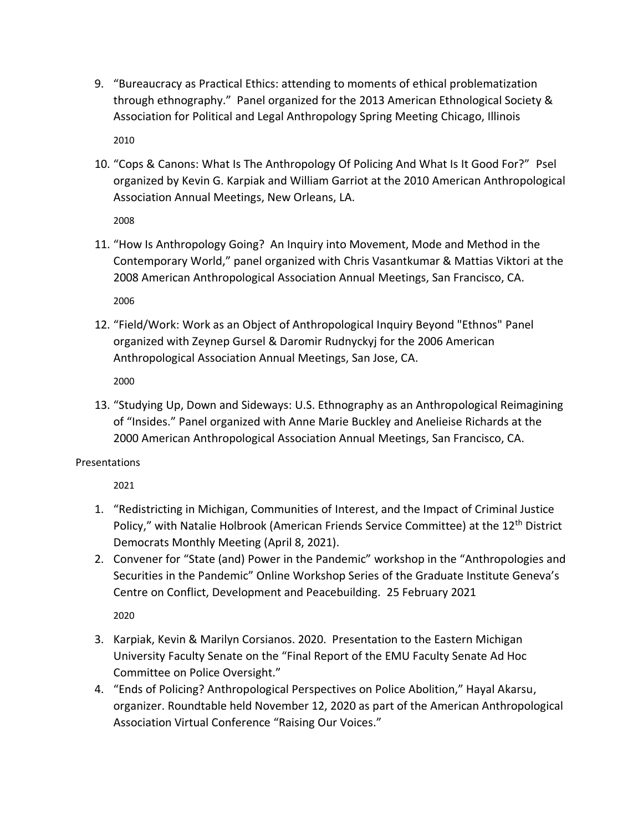- 9. "Bureaucracy as Practical Ethics: attending to moments of ethical problematization through ethnography." Panel organized for the 2013 American Ethnological Society & Association for Political and Legal Anthropology Spring Meeting Chicago, Illinois 2010
- 10. "Cops & Canons: What Is The Anthropology Of Policing And What Is It Good For?" Psel organized by Kevin G. Karpiak and William Garriot at the 2010 American Anthropological Association Annual Meetings, New Orleans, LA.

11. "How Is Anthropology Going? An Inquiry into Movement, Mode and Method in the Contemporary World," panel organized with Chris Vasantkumar & Mattias Viktori at the 2008 American Anthropological Association Annual Meetings, San Francisco, CA.

2006

12. "Field/Work: Work as an Object of Anthropological Inquiry Beyond "Ethnos" Panel organized with Zeynep Gursel & Daromir Rudnyckyj for the 2006 American Anthropological Association Annual Meetings, San Jose, CA.

2000

13. "Studying Up, Down and Sideways: U.S. Ethnography as an Anthropological Reimagining of "Insides." Panel organized with Anne Marie Buckley and Anelieise Richards at the 2000 American Anthropological Association Annual Meetings, San Francisco, CA.

### Presentations

2021

- 1. "Redistricting in Michigan, Communities of Interest, and the Impact of Criminal Justice Policy," with Natalie Holbrook (American Friends Service Committee) at the 12<sup>th</sup> District Democrats Monthly Meeting (April 8, 2021).
- 2. Convener for "State (and) Power in the Pandemic" workshop in the "Anthropologies and Securities in the Pandemic" Online Workshop Series of the Graduate Institute Geneva's Centre on Conflict, Development and Peacebuilding. 25 February 2021

- 3. Karpiak, Kevin & Marilyn Corsianos. 2020. Presentation to the Eastern Michigan University Faculty Senate on the "Final Report of the EMU Faculty Senate Ad Hoc Committee on Police Oversight."
- 4. "Ends of Policing? Anthropological Perspectives on Police Abolition," Hayal Akarsu, organizer. Roundtable held November 12, 2020 as part of the American Anthropological Association Virtual Conference "Raising Our Voices."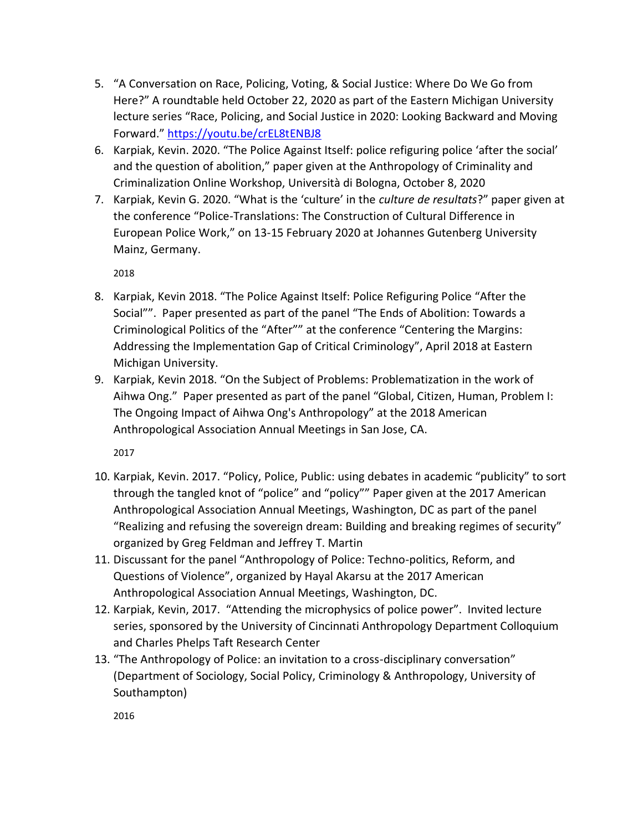- 5. "A Conversation on Race, Policing, Voting, & Social Justice: Where Do We Go from Here?" A roundtable held October 22, 2020 as part of the Eastern Michigan University lecture series "Race, Policing, and Social Justice in 2020: Looking Backward and Moving Forward." <https://youtu.be/crEL8tENBJ8>
- 6. Karpiak, Kevin. 2020. "The Police Against Itself: police refiguring police 'after the social' and the question of abolition," paper given at the Anthropology of Criminality and Criminalization Online Workshop, Università di Bologna, October 8, 2020
- 7. Karpiak, Kevin G. 2020. "What is the 'culture' in the *culture de resultats*?" paper given at the conference "Police-Translations: The Construction of Cultural Difference in European Police Work," on 13-15 February 2020 at Johannes Gutenberg University Mainz, Germany.

- 8. Karpiak, Kevin 2018. "The Police Against Itself: Police Refiguring Police "After the Social"". Paper presented as part of the panel "The Ends of Abolition: Towards a Criminological Politics of the "After"" at the conference "Centering the Margins: Addressing the Implementation Gap of Critical Criminology", April 2018 at Eastern Michigan University.
- 9. Karpiak, Kevin 2018. "On the Subject of Problems: Problematization in the work of Aihwa Ong." Paper presented as part of the panel "Global, Citizen, Human, Problem I: The Ongoing Impact of Aihwa Ong's Anthropology" at the 2018 American Anthropological Association Annual Meetings in San Jose, CA.

2017

- 10. Karpiak, Kevin. 2017. "Policy, Police, Public: using debates in academic "publicity" to sort through the tangled knot of "police" and "policy"" Paper given at the 2017 American Anthropological Association Annual Meetings, Washington, DC as part of the panel "Realizing and refusing the sovereign dream: Building and breaking regimes of security" organized by Greg Feldman and Jeffrey T. Martin
- 11. Discussant for the panel "Anthropology of Police: Techno-politics, Reform, and Questions of Violence", organized by Hayal Akarsu at the 2017 American Anthropological Association Annual Meetings, Washington, DC.
- 12. Karpiak, Kevin, 2017. "Attending the microphysics of police power". Invited lecture series, sponsored by the University of Cincinnati Anthropology Department Colloquium and Charles Phelps Taft Research Center
- 13. "The Anthropology of Police: an invitation to a cross-disciplinary conversation" (Department of Sociology, Social Policy, Criminology & Anthropology, University of Southampton)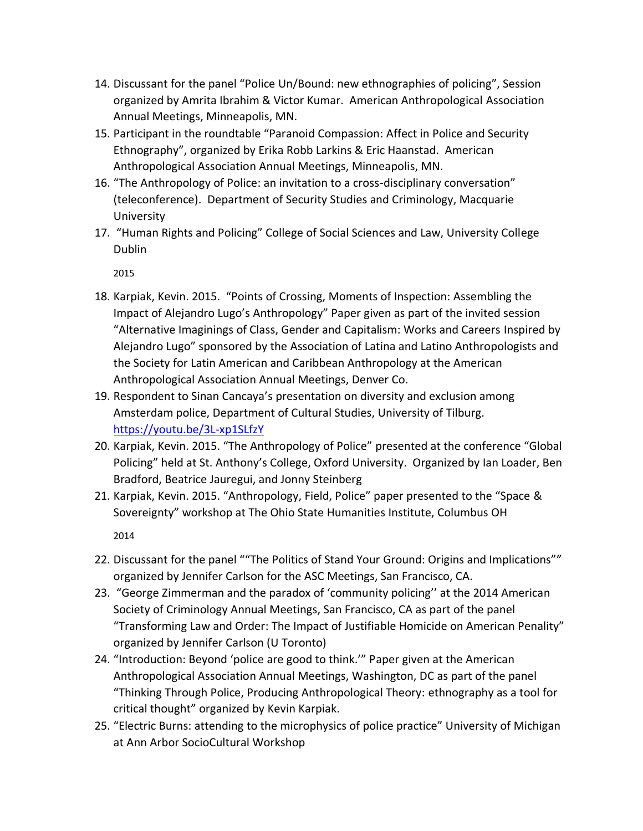- 14. Discussant for the panel "Police Un/Bound: new ethnographies of policing", Session organized by Amrita Ibrahim & Victor Kumar. American Anthropological Association Annual Meetings, Minneapolis, MN.
- 15. Participant in the roundtable "Paranoid Compassion: Affect in Police and Security Ethnography", organized by Erika Robb Larkins & Eric Haanstad. American Anthropological Association Annual Meetings, Minneapolis, MN.
- 16. "The Anthropology of Police: an invitation to a cross-disciplinary conversation" (teleconference). Department of Security Studies and Criminology, Macquarie University
- 17. "Human Rights and Policing" College of Social Sciences and Law, University College Dublin

- 18. Karpiak, Kevin. 2015. "Points of Crossing, Moments of Inspection: Assembling the Impact of Alejandro Lugo's Anthropology" Paper given as part of the invited session "Alternative Imaginings of Class, Gender and Capitalism: Works and Careers Inspired by Alejandro Lugo" sponsored by the Association of Latina and Latino Anthropologists and the Society for Latin American and Caribbean Anthropology at the American Anthropological Association Annual Meetings, Denver Co.
- 19. Respondent to Sinan Cancaya's presentation on diversity and exclusion among Amsterdam police, Department of Cultural Studies, University of Tilburg. <https://youtu.be/3L-xp1SLfzY>
- 20. Karpiak, Kevin. 2015. "The Anthropology of Police" presented at the conference "Global Policing" held at St. Anthony's College, Oxford University. Organized by Ian Loader, Ben Bradford, Beatrice Jauregui, and Jonny Steinberg
- 21. Karpiak, Kevin. 2015. "Anthropology, Field, Police" paper presented to the "Space & Sovereignty" workshop at The Ohio State Humanities Institute, Columbus OH

- 22. Discussant for the panel ""The Politics of Stand Your Ground: Origins and Implications"" organized by Jennifer Carlson for the ASC Meetings, San Francisco, CA.
- 23. "George Zimmerman and the paradox of 'community policing'' at the 2014 American Society of Criminology Annual Meetings, San Francisco, CA as part of the panel "Transforming Law and Order: The Impact of Justifiable Homicide on American Penality" organized by Jennifer Carlson (U Toronto)
- 24. "Introduction: Beyond 'police are good to think.'" Paper given at the American Anthropological Association Annual Meetings, Washington, DC as part of the panel "Thinking Through Police, Producing Anthropological Theory: ethnography as a tool for critical thought" organized by Kevin Karpiak.
- 25. "Electric Burns: attending to the microphysics of police practice" University of Michigan at Ann Arbor SocioCultural Workshop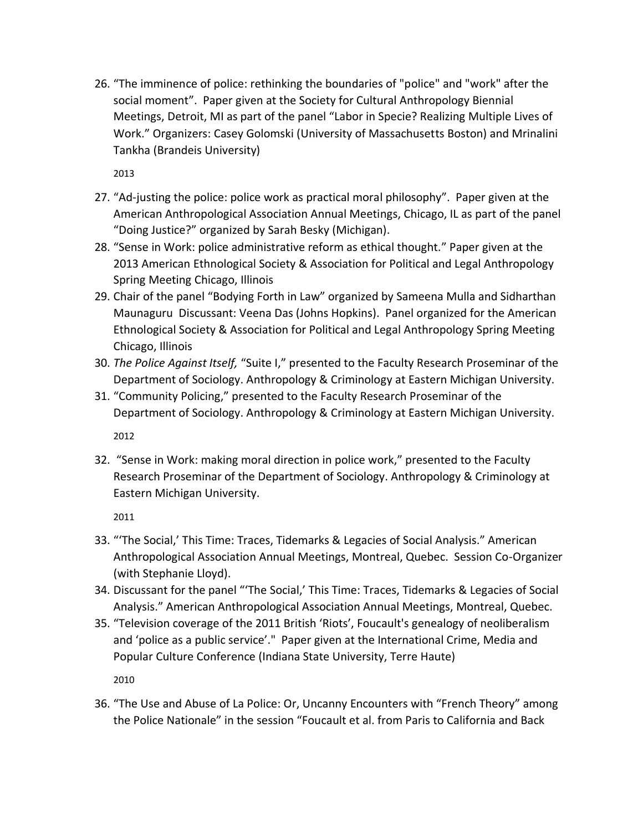26. "The imminence of police: rethinking the boundaries of "police" and "work" after the social moment". Paper given at the Society for Cultural Anthropology Biennial Meetings, Detroit, MI as part of the panel "Labor in Specie? Realizing Multiple Lives of Work." Organizers: Casey Golomski (University of Massachusetts Boston) and Mrinalini Tankha (Brandeis University)

2013

- 27. "Ad-justing the police: police work as practical moral philosophy". Paper given at the American Anthropological Association Annual Meetings, Chicago, IL as part of the panel "Doing Justice?" organized by Sarah Besky (Michigan).
- 28. "Sense in Work: police administrative reform as ethical thought." Paper given at the 2013 American Ethnological Society & Association for Political and Legal Anthropology Spring Meeting Chicago, Illinois
- 29. Chair of the panel "Bodying Forth in Law" organized by Sameena Mulla and Sidharthan Maunaguru Discussant: Veena Das (Johns Hopkins). Panel organized for the American Ethnological Society & Association for Political and Legal Anthropology Spring Meeting Chicago, Illinois
- 30. *The Police Against Itself,* "Suite I," presented to the Faculty Research Proseminar of the Department of Sociology. Anthropology & Criminology at Eastern Michigan University.
- 31. "Community Policing," presented to the Faculty Research Proseminar of the Department of Sociology. Anthropology & Criminology at Eastern Michigan University. 2012
- 32. "Sense in Work: making moral direction in police work," presented to the Faculty Research Proseminar of the Department of Sociology. Anthropology & Criminology at Eastern Michigan University.

2011

- 33. "'The Social,' This Time: Traces, Tidemarks & Legacies of Social Analysis." American Anthropological Association Annual Meetings, Montreal, Quebec. Session Co-Organizer (with Stephanie Lloyd).
- 34. Discussant for the panel "'The Social,' This Time: Traces, Tidemarks & Legacies of Social Analysis." American Anthropological Association Annual Meetings, Montreal, Quebec.
- 35. "Television coverage of the 2011 British 'Riots', Foucault's genealogy of neoliberalism and 'police as a public service'." Paper given at the International Crime, Media and Popular Culture Conference (Indiana State University, Terre Haute)

2010

36. "The Use and Abuse of La Police: Or, Uncanny Encounters with "French Theory" among the Police Nationale" in the session "Foucault et al. from Paris to California and Back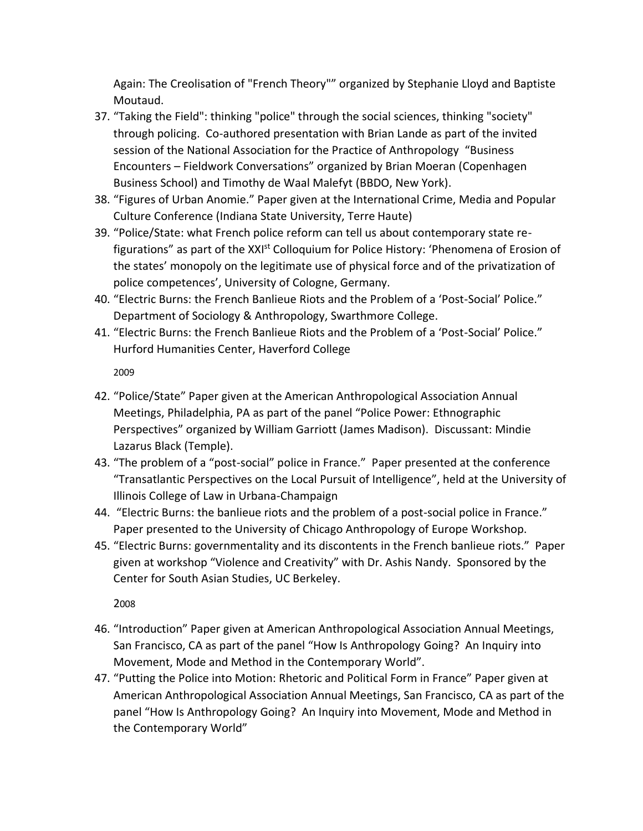Again: The Creolisation of "French Theory"" organized by Stephanie Lloyd and Baptiste Moutaud.

- 37. "Taking the Field": thinking "police" through the social sciences, thinking "society" through policing. Co-authored presentation with Brian Lande as part of the invited session of the National Association for the Practice of Anthropology "Business Encounters – Fieldwork Conversations" organized by Brian Moeran (Copenhagen Business School) and Timothy de Waal Malefyt (BBDO, New York).
- 38. "Figures of Urban Anomie." Paper given at the International Crime, Media and Popular Culture Conference (Indiana State University, Terre Haute)
- 39. "Police/State: what French police reform can tell us about contemporary state refigurations" as part of the XXI<sup>st</sup> Colloquium for Police History: 'Phenomena of Erosion of the states' monopoly on the legitimate use of physical force and of the privatization of police competences', University of Cologne, Germany.
- 40. "Electric Burns: the French Banlieue Riots and the Problem of a 'Post-Social' Police." Department of Sociology & Anthropology, Swarthmore College.
- 41. "Electric Burns: the French Banlieue Riots and the Problem of a 'Post-Social' Police." Hurford Humanities Center, Haverford College

2009

- 42. "Police/State" Paper given at the American Anthropological Association Annual Meetings, Philadelphia, PA as part of the panel "Police Power: Ethnographic Perspectives" organized by William Garriott (James Madison). Discussant: Mindie Lazarus Black (Temple).
- 43. "The problem of a "post-social" police in France." Paper presented at the conference "Transatlantic Perspectives on the Local Pursuit of Intelligence", held at the University of Illinois College of Law in Urbana-Champaign
- 44. "Electric Burns: the banlieue riots and the problem of a post-social police in France." Paper presented to the University of Chicago Anthropology of Europe Workshop.
- 45. "Electric Burns: governmentality and its discontents in the French banlieue riots." Paper given at workshop "Violence and Creativity" with Dr. Ashis Nandy. Sponsored by the Center for South Asian Studies, UC Berkeley.

- 46. "Introduction" Paper given at American Anthropological Association Annual Meetings, San Francisco, CA as part of the panel "How Is Anthropology Going? An Inquiry into Movement, Mode and Method in the Contemporary World".
- 47. "Putting the Police into Motion: Rhetoric and Political Form in France" Paper given at American Anthropological Association Annual Meetings, San Francisco, CA as part of the panel "How Is Anthropology Going? An Inquiry into Movement, Mode and Method in the Contemporary World"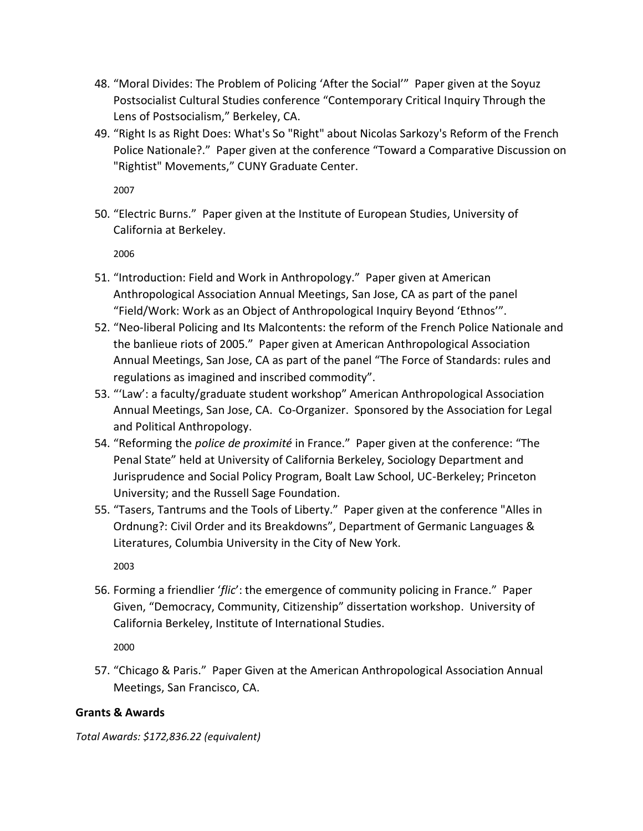- 48. "Moral Divides: The Problem of Policing 'After the Social'" Paper given at the Soyuz Postsocialist Cultural Studies conference "Contemporary Critical Inquiry Through the Lens of Postsocialism," Berkeley, CA.
- 49. "Right Is as Right Does: What's So "Right" about Nicolas Sarkozy's Reform of the French Police Nationale?." Paper given at the conference "Toward a Comparative Discussion on "Rightist" Movements," CUNY Graduate Center.

50. "Electric Burns." Paper given at the Institute of European Studies, University of California at Berkeley.

2006

- 51. "Introduction: Field and Work in Anthropology." Paper given at American Anthropological Association Annual Meetings, San Jose, CA as part of the panel "Field/Work: Work as an Object of Anthropological Inquiry Beyond 'Ethnos'".
- 52. "Neo-liberal Policing and Its Malcontents: the reform of the French Police Nationale and the banlieue riots of 2005." Paper given at American Anthropological Association Annual Meetings, San Jose, CA as part of the panel "The Force of Standards: rules and regulations as imagined and inscribed commodity".
- 53. "'Law': a faculty/graduate student workshop" American Anthropological Association Annual Meetings, San Jose, CA. Co-Organizer. Sponsored by the Association for Legal and Political Anthropology.
- 54. "Reforming the *police de proximité* in France." Paper given at the conference: "The Penal State" held at University of California Berkeley, Sociology Department and Jurisprudence and Social Policy Program, Boalt Law School, UC-Berkeley; Princeton University; and the Russell Sage Foundation.
- 55. "Tasers, Tantrums and the Tools of Liberty." Paper given at the conference "Alles in Ordnung?: Civil Order and its Breakdowns", Department of Germanic Languages & Literatures, Columbia University in the City of New York.

2003

56. Forming a friendlier '*flic*': the emergence of community policing in France." Paper Given, "Democracy, Community, Citizenship" dissertation workshop. University of California Berkeley, Institute of International Studies.

2000

57. "Chicago & Paris." Paper Given at the American Anthropological Association Annual Meetings, San Francisco, CA.

### **Grants & Awards**

*Total Awards: \$172,836.22 (equivalent)*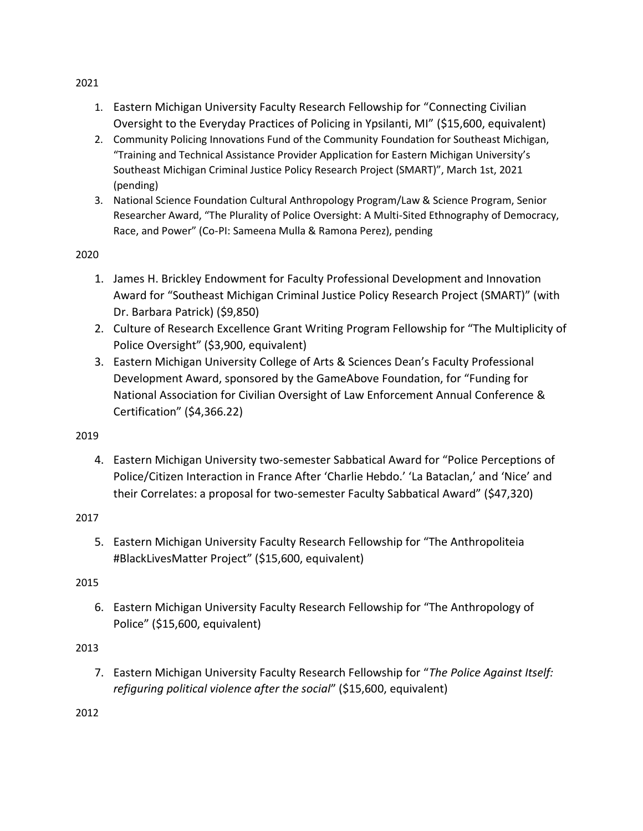- 1. Eastern Michigan University Faculty Research Fellowship for "Connecting Civilian Oversight to the Everyday Practices of Policing in Ypsilanti, MI" (\$15,600, equivalent)
- 2. Community Policing Innovations Fund of the Community Foundation for Southeast Michigan, "Training and Technical Assistance Provider Application for Eastern Michigan University's Southeast Michigan Criminal Justice Policy Research Project (SMART)", March 1st, 2021 (pending)
- 3. National Science Foundation Cultural Anthropology Program/Law & Science Program, Senior Researcher Award, "The Plurality of Police Oversight: A Multi-Sited Ethnography of Democracy, Race, and Power" (Co-PI: Sameena Mulla & Ramona Perez), pending

- 1. James H. Brickley Endowment for Faculty Professional Development and Innovation Award for "Southeast Michigan Criminal Justice Policy Research Project (SMART)" (with Dr. Barbara Patrick) (\$9,850)
- 2. Culture of Research Excellence Grant Writing Program Fellowship for "The Multiplicity of Police Oversight" (\$3,900, equivalent)
- 3. Eastern Michigan University College of Arts & Sciences Dean's Faculty Professional Development Award, sponsored by the GameAbove Foundation, for "Funding for National Association for Civilian Oversight of Law Enforcement Annual Conference & Certification" (\$4,366.22)

## 2019

4. Eastern Michigan University two-semester Sabbatical Award for "Police Perceptions of Police/Citizen Interaction in France After 'Charlie Hebdo.' 'La Bataclan,' and 'Nice' and their Correlates: a proposal for two-semester Faculty Sabbatical Award" (\$47,320)

## 2017

5. Eastern Michigan University Faculty Research Fellowship for "The Anthropoliteia #BlackLivesMatter Project" (\$15,600, equivalent)

## 2015

6. Eastern Michigan University Faculty Research Fellowship for "The Anthropology of Police" (\$15,600, equivalent)

## 2013

7. Eastern Michigan University Faculty Research Fellowship for "*The Police Against Itself: refiguring political violence after the social*" (\$15,600, equivalent)

2012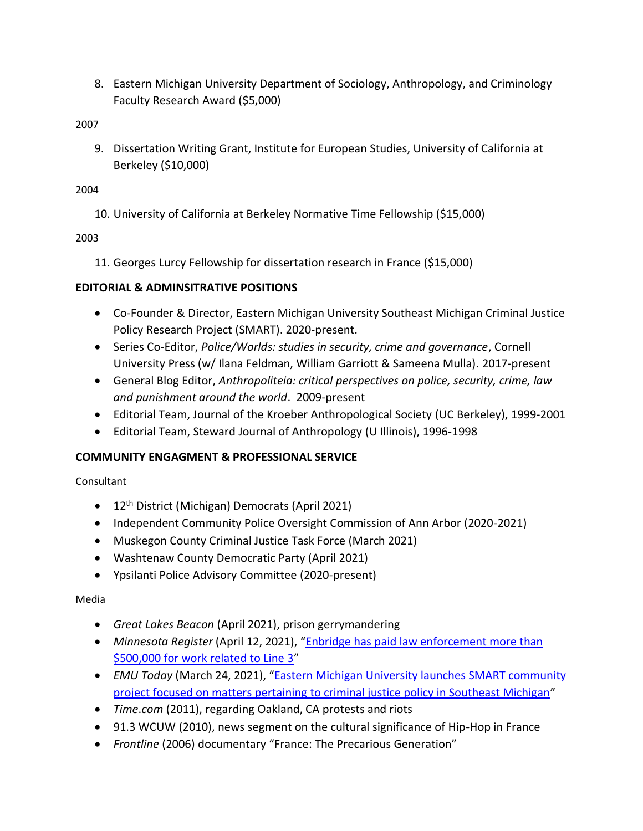8. Eastern Michigan University Department of Sociology, Anthropology, and Criminology Faculty Research Award (\$5,000)

2007

9. Dissertation Writing Grant, Institute for European Studies, University of California at Berkeley (\$10,000)

2004

10. University of California at Berkeley Normative Time Fellowship (\$15,000)

2003

11. Georges Lurcy Fellowship for dissertation research in France (\$15,000)

## **EDITORIAL & ADMINSITRATIVE POSITIONS**

- Co-Founder & Director, Eastern Michigan University Southeast Michigan Criminal Justice Policy Research Project (SMART). 2020-present.
- Series Co-Editor, *Police/Worlds: studies in security, crime and governance*, Cornell University Press (w/ Ilana Feldman, William Garriott & Sameena Mulla). 2017-present
- General Blog Editor, *Anthropoliteia: critical perspectives on police, security, crime, law and punishment around the world*. 2009-present
- Editorial Team, Journal of the Kroeber Anthropological Society (UC Berkeley), 1999-2001
- Editorial Team, Steward Journal of Anthropology (U Illinois), 1996-1998

### **COMMUNITY ENGAGMENT & PROFESSIONAL SERVICE**

Consultant

- 12<sup>th</sup> District (Michigan) Democrats (April 2021)
- Independent Community Police Oversight Commission of Ann Arbor (2020-2021)
- Muskegon County Criminal Justice Task Force (March 2021)
- Washtenaw County Democratic Party (April 2021)
- Ypsilanti Police Advisory Committee (2020-present)

### Media

- *Great Lakes Beacon* (April 2021), prison gerrymandering
- *Minnesota Register* (April 12, 2021), "[Enbridge has paid law enforcement more than](https://minnesotareformer.com/2021/04/12/enbridge-has-paid-law-enforcement-more-than-500000-for-work-related-to-line-3/)  [\\$500,000 for work related to Line 3](https://minnesotareformer.com/2021/04/12/enbridge-has-paid-law-enforcement-more-than-500000-for-work-related-to-line-3/)"
- *EMU Today* (March 24, 2021), "[Eastern Michigan University launches SMART community](https://today.emich.edu/story/news/11722)  [project focused on matters pertaining to criminal justice policy in Southeast Michigan](https://today.emich.edu/story/news/11722)"
- *Time*.*com* (2011), regarding Oakland, CA protests and riots
- 91.3 WCUW (2010), news segment on the cultural significance of Hip-Hop in France
- *Frontline* (2006) documentary "France: The Precarious Generation"